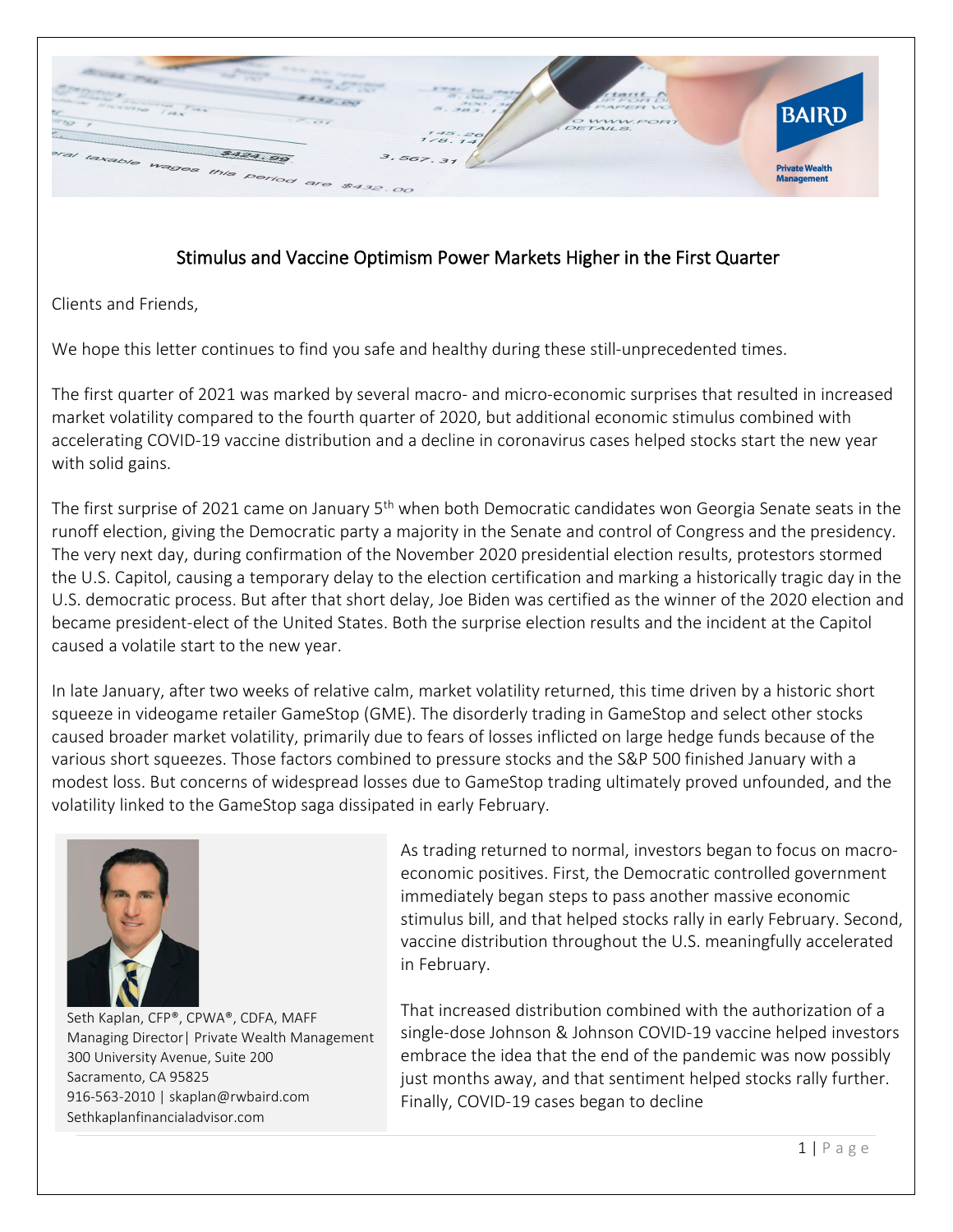

## Stimulus and Vaccine Optimism Power Markets Higher in the First Quarter

Clients and Friends,

We hope this letter continues to find you safe and healthy during these still-unprecedented times.

The first quarter of 2021 was marked by several macro- and micro-economic surprises that resulted in increased market volatility compared to the fourth quarter of 2020, but additional economic stimulus combined with accelerating COVID-19 vaccine distribution and a decline in coronavirus cases helped stocks start the new year with solid gains.

The first surprise of 2021 came on January 5<sup>th</sup> when both Democratic candidates won Georgia Senate seats in the runoff election, giving the Democratic party a majority in the Senate and control of Congress and the presidency. The very next day, during confirmation of the November 2020 presidential election results, protestors stormed the U.S. Capitol, causing a temporary delay to the election certification and marking a historically tragic day in the U.S. democratic process. But after that short delay, Joe Biden was certified as the winner of the 2020 election and became president-elect of the United States. Both the surprise election results and the incident at the Capitol caused a volatile start to the new year.

In late January, after two weeks of relative calm, market volatility returned, this time driven by a historic short squeeze in videogame retailer GameStop (GME). The disorderly trading in GameStop and select other stocks caused broader market volatility, primarily due to fears of losses inflicted on large hedge funds because of the various short squeezes. Those factors combined to pressure stocks and the S&P 500 finished January with a modest loss. But concerns of widespread losses due to GameStop trading ultimately proved unfounded, and the volatility linked to the GameStop saga dissipated in early February.



 Seth Kaplan, CFP®, CPWA®, CDFA, MAFF Managing Director| Private Wealth Management 300 University Avenue, Suite 200 Sacramento, CA 95825 916-563-2010 | [skaplan@rwbaird.com](mailto:skaplan@rwbaird.com) Sethkaplanfinancialadvisor.com

As trading returned to normal, investors began to focus on macroeconomic positives. First, the Democratic controlled government immediately began steps to pass another massive economic stimulus bill, and that helped stocks rally in early February. Second, vaccine distribution throughout the U.S. meaningfully accelerated in February.

That increased distribution combined with the authorization of a single-dose Johnson & Johnson COVID-19 vaccine helped investors embrace the idea that the end of the pandemic was now possibly just months away, and that sentiment helped stocks rally further. Finally, COVID-19 cases began to decline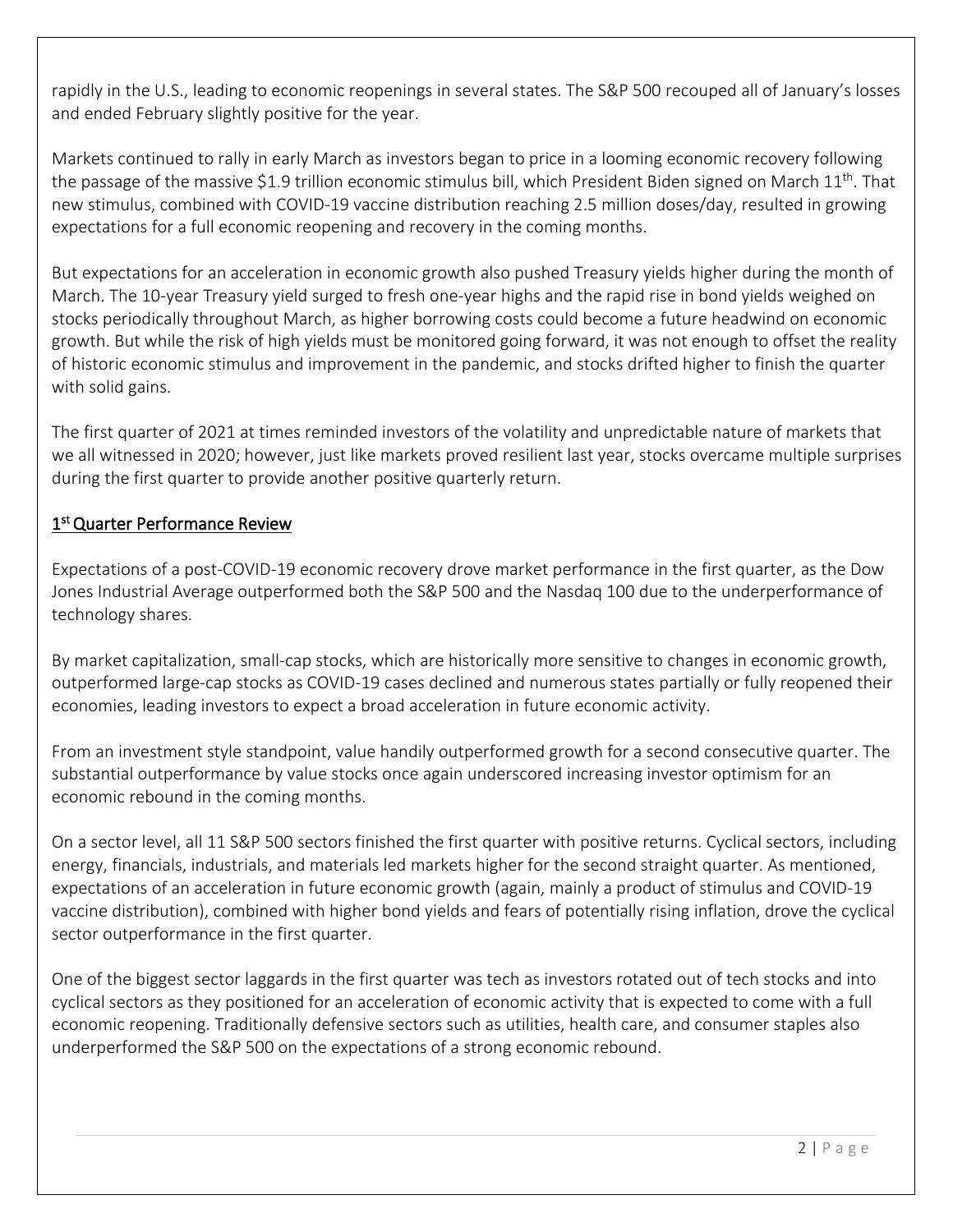rapidly in the U.S., leading to economic reopenings in several states. The S&P 500 recouped all of January's losses and ended February slightly positive for the year.

Markets continued to rally in early March as investors began to price in a looming economic recovery following the passage of the massive \$1.9 trillion economic stimulus bill, which President Biden signed on March  $11<sup>th</sup>$ . That new stimulus, combined with COVID-19 vaccine distribution reaching 2.5 million doses/day, resulted in growing expectations for a full economic reopening and recovery in the coming months.

But expectations for an acceleration in economic growth also pushed Treasury yields higher during the month of March. The 10-year Treasury yield surged to fresh one-year highs and the rapid rise in bond yields weighed on stocks periodically throughout March, as higher borrowing costs could become a future headwind on economic growth. But while the risk of high yields must be monitored going forward, it was not enough to offset the reality of historic economic stimulus and improvement in the pandemic, and stocks drifted higher to finish the quarter with solid gains.

The first quarter of 2021 at times reminded investors of the volatility and unpredictable nature of markets that we all witnessed in 2020; however, just like markets proved resilient last year, stocks overcame multiple surprises during the first quarter to provide another positive quarterly return.

## 1<sup>st</sup> Quarter Performance Review

Expectations of a post-COVID-19 economic recovery drove market performance in the first quarter, as the Dow Jones Industrial Average outperformed both the S&P 500 and the Nasdaq 100 due to the underperformance of technology shares.

By market capitalization, small-cap stocks, which are historically more sensitive to changes in economic growth, outperformed large-cap stocks as COVID-19 cases declined and numerous states partially or fully reopened their economies, leading investors to expect a broad acceleration in future economic activity.

From an investment style standpoint, value handily outperformed growth for a second consecutive quarter. The substantial outperformance by value stocks once again underscored increasing investor optimism for an economic rebound in the coming months.

On a sector level, all 11 S&P 500 sectors finished the first quarter with positive returns. Cyclical sectors, including energy, financials, industrials, and materials led markets higher for the second straight quarter. As mentioned, expectations of an acceleration in future economic growth (again, mainly a product of stimulus and COVID-19 vaccine distribution), combined with higher bond yields and fears of potentially rising inflation, drove the cyclical sector outperformance in the first quarter.

One of the biggest sector laggards in the first quarter was tech as investors rotated out of tech stocks and into cyclical sectors as they positioned for an acceleration of economic activity that is expected to come with a full economic reopening. Traditionally defensive sectors such as utilities, health care, and consumer staples also underperformed the S&P 500 on the expectations of a strong economic rebound.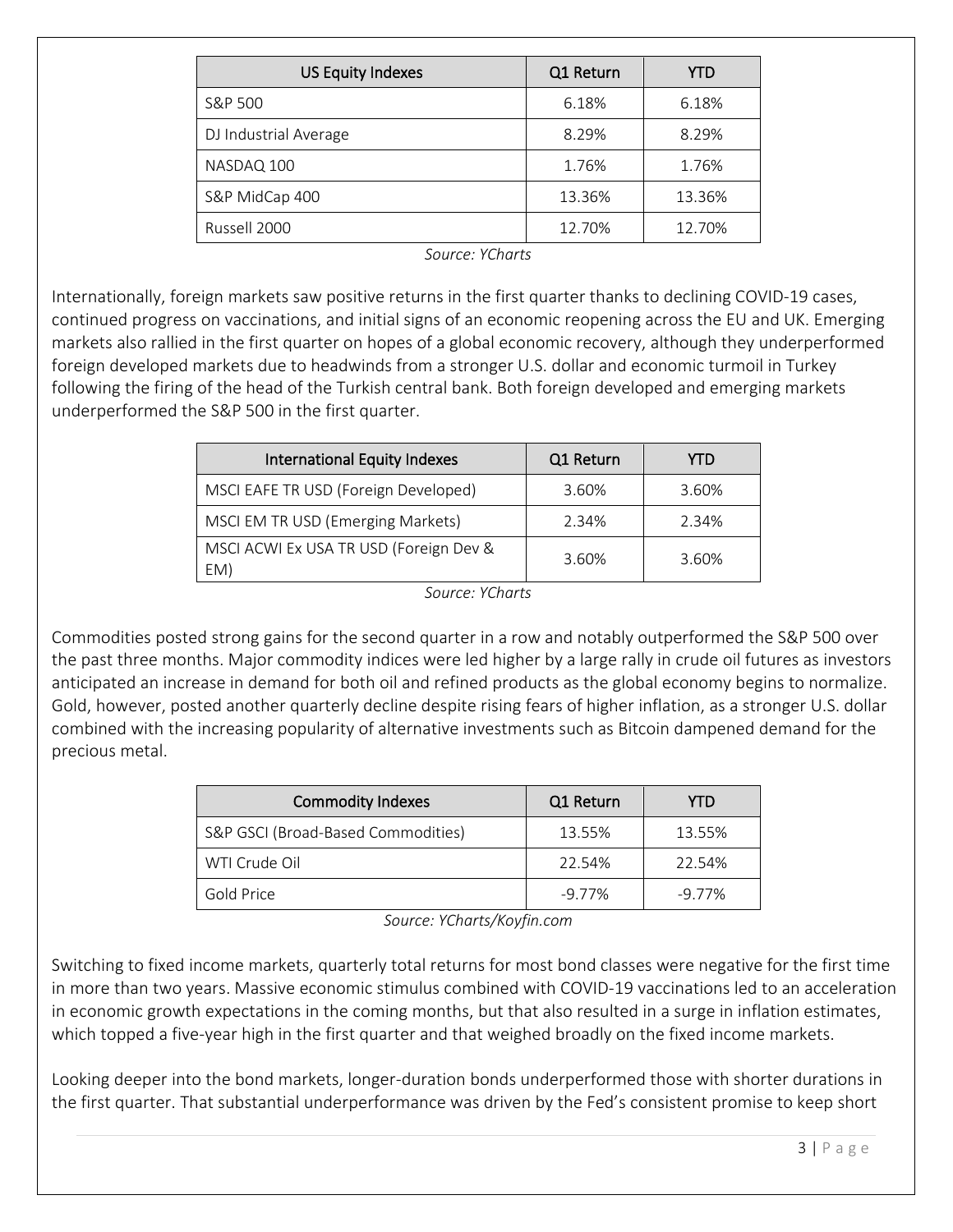| <b>US Equity Indexes</b> | Q1 Return | YTD    |
|--------------------------|-----------|--------|
| S&P 500                  | 6.18%     | 6.18%  |
| DJ Industrial Average    | 8.29%     | 8.29%  |
| NASDAQ 100               | 1.76%     | 1.76%  |
| S&P MidCap 400           | 13.36%    | 13.36% |
| Russell 2000             | 12.70%    | 12.70% |

*Source: YCharts*

Internationally, foreign markets saw positive returns in the first quarter thanks to declining COVID-19 cases, continued progress on vaccinations, and initial signs of an economic reopening across the EU and UK. Emerging markets also rallied in the first quarter on hopes of a global economic recovery, although they underperformed foreign developed markets due to headwinds from a stronger U.S. dollar and economic turmoil in Turkey following the firing of the head of the Turkish central bank. Both foreign developed and emerging markets underperformed the S&P 500 in the first quarter.

| <b>International Equity Indexes</b>           | Q1 Return | YTD   |
|-----------------------------------------------|-----------|-------|
| MSCI EAFE TR USD (Foreign Developed)          | 3.60%     | 3.60% |
| MSCI EM TR USD (Emerging Markets)             | 2.34%     | 2.34% |
| MSCI ACWI Ex USA TR USD (Foreign Dev &<br>EM) | 3.60%     | 3.60% |

*Source: YCharts*

Commodities posted strong gains for the second quarter in a row and notably outperformed the S&P 500 over the past three months. Major commodity indices were led higher by a large rally in crude oil futures as investors anticipated an increase in demand for both oil and refined products as the global economy begins to normalize. Gold, however, posted another quarterly decline despite rising fears of higher inflation, as a stronger U.S. dollar combined with the increasing popularity of alternative investments such as Bitcoin dampened demand for the precious metal.

| Commodity Indexes                  | Q1 Return | YTD    |
|------------------------------------|-----------|--------|
| S&P GSCI (Broad-Based Commodities) | 13.55%    | 13.55% |
| WTI Crude Oil                      | 22.54%    | 22.54% |
| Gold Price                         | -9.77%    | -9.77% |

*Source: YCharts/Koyfin.com*

Switching to fixed income markets, quarterly total returns for most bond classes were negative for the first time in more than two years. Massive economic stimulus combined with COVID-19 vaccinations led to an acceleration in economic growth expectations in the coming months, but that also resulted in a surge in inflation estimates, which topped a five-year high in the first quarter and that weighed broadly on the fixed income markets.

Looking deeper into the bond markets, longer-duration bonds underperformed those with shorter durations in the first quarter. That substantial underperformance was driven by the Fed's consistent promise to keep short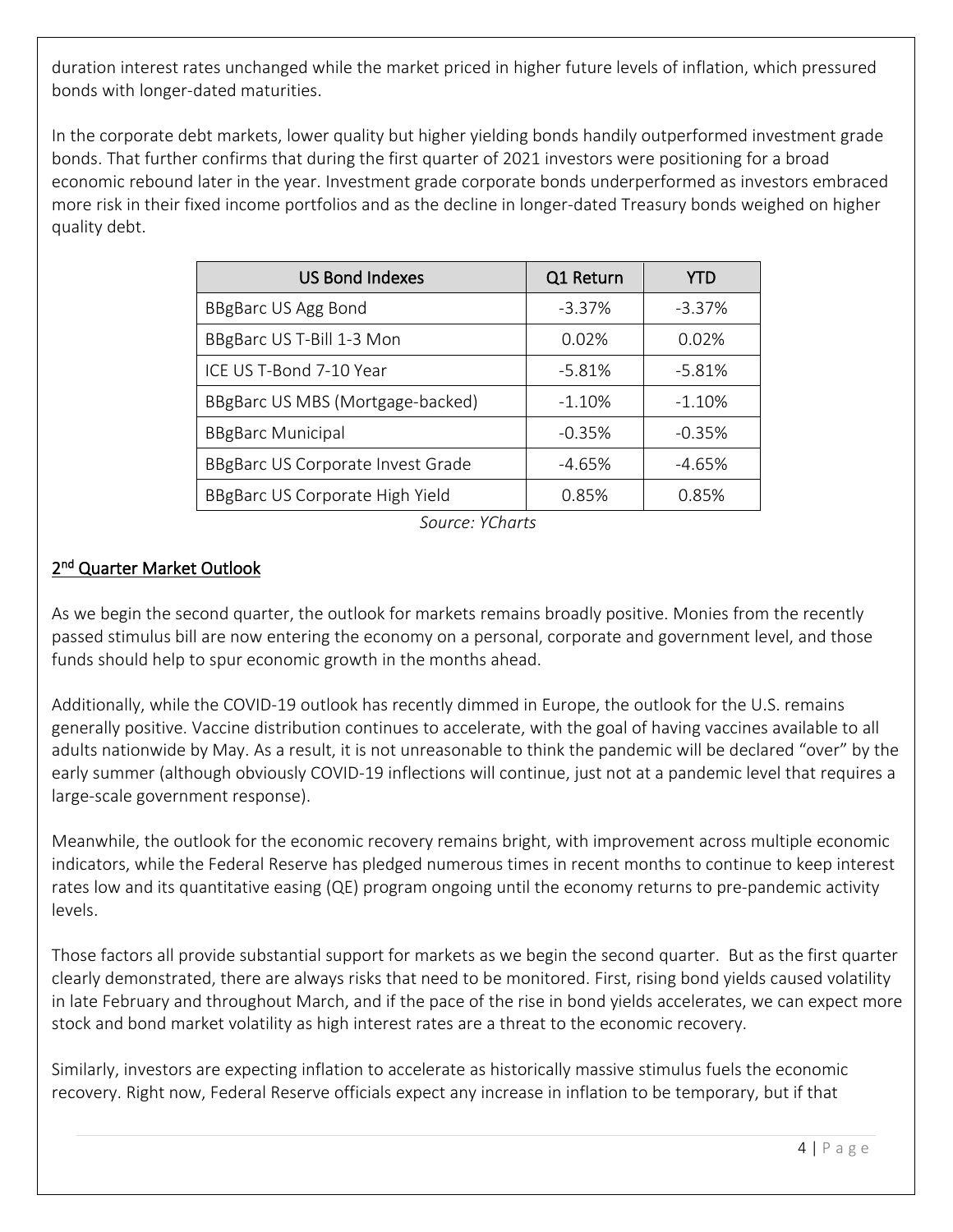duration interest rates unchanged while the market priced in higher future levels of inflation, which pressured bonds with longer-dated maturities.

In the corporate debt markets, lower quality but higher yielding bonds handily outperformed investment grade bonds. That further confirms that during the first quarter of 2021 investors were positioning for a broad economic rebound later in the year. Investment grade corporate bonds underperformed as investors embraced more risk in their fixed income portfolios and as the decline in longer-dated Treasury bonds weighed on higher quality debt.

| <b>US Bond Indexes</b>            | Q1 Return | YTD      |
|-----------------------------------|-----------|----------|
| BBgBarc US Agg Bond               | $-3.37%$  | $-3.37%$ |
| BBgBarc US T-Bill 1-3 Mon         | 0.02%     | 0.02%    |
| ICE US T-Bond 7-10 Year           | $-5.81%$  | $-5.81%$ |
| BBgBarc US MBS (Mortgage-backed)  | $-1.10%$  | $-1.10%$ |
| <b>BBgBarc Municipal</b>          | $-0.35%$  | $-0.35%$ |
| BBgBarc US Corporate Invest Grade | -4.65%    | -4.65%   |
| BBgBarc US Corporate High Yield   | 0.85%     | 0.85%    |

*Source: YCharts*

## 2<sup>nd</sup> Quarter Market Outlook

As we begin the second quarter, the outlook for markets remains broadly positive. Monies from the recently passed stimulus bill are now entering the economy on a personal, corporate and government level, and those funds should help to spur economic growth in the months ahead.

Additionally, while the COVID-19 outlook has recently dimmed in Europe, the outlook for the U.S. remains generally positive. Vaccine distribution continues to accelerate, with the goal of having vaccines available to all adults nationwide by May. As a result, it is not unreasonable to think the pandemic will be declared "over" by the early summer (although obviously COVID-19 inflections will continue, just not at a pandemic level that requires a large-scale government response).

Meanwhile, the outlook for the economic recovery remains bright, with improvement across multiple economic indicators, while the Federal Reserve has pledged numerous times in recent months to continue to keep interest rates low and its quantitative easing (QE) program ongoing until the economy returns to pre-pandemic activity levels.

Those factors all provide substantial support for markets as we begin the second quarter. But as the first quarter clearly demonstrated, there are always risks that need to be monitored. First, rising bond yields caused volatility in late February and throughout March, and if the pace of the rise in bond yields accelerates, we can expect more stock and bond market volatility as high interest rates are a threat to the economic recovery.

Similarly, investors are expecting inflation to accelerate as historically massive stimulus fuels the economic recovery. Right now, Federal Reserve officials expect any increase in inflation to be temporary, but if that